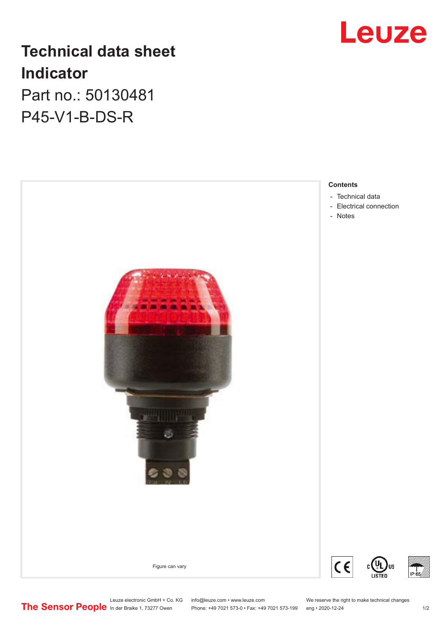

# **Technical data sheet Indicator** Part no.: 50130481

P45-V1-B-DS-R



Leuze electronic GmbH + Co. KG info@leuze.com • www.leuze.com We reserve the right to make technical changes In der Braike 1, 73277 Owen Phone: +49 7021 573-0 • Fax: +49 7021 573-199 eng • 2020-12-24 1 /2